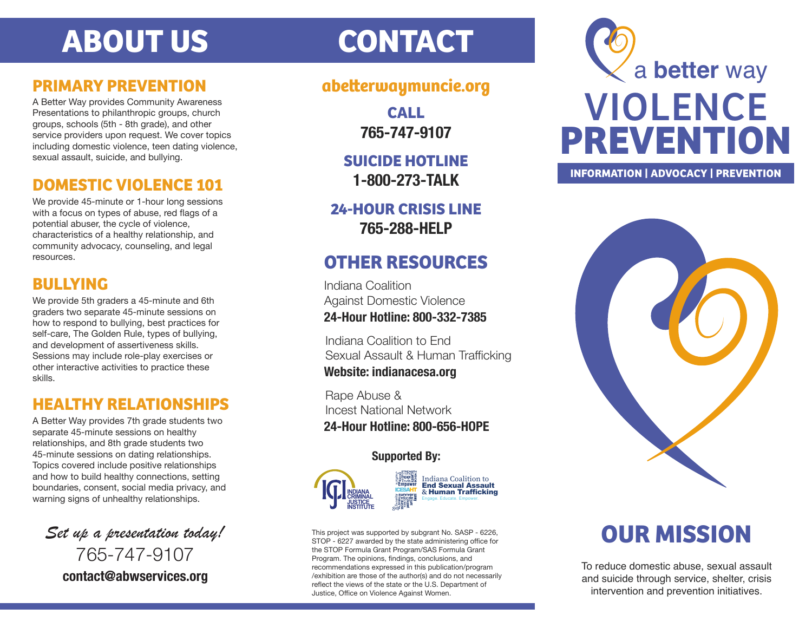# **ABOUT US CONTACT**

### **PRIMARY PREVENTION**

A Better Way provides Community Awareness Presentations to philanthropic groups, church groups, schools (5th - 8th grade), and other service providers upon request. We cover topics including domestic violence, teen dating violence, sexual assault, suicide, and bullying.

### **DOMESTIC VIOLENCE 101**

We provide 45-minute or 1-hour long sessions with a focus on types of abuse, red flags of a potential abuser, the cycle of violence, characteristics of a healthy relationship, and community advocacy, counseling, and legal resources.

### **BULLYING**

We provide 5th graders a 45-minute and 6th graders two separate 45-minute sessions on how to respond to bullying, best practices for self-care, The Golden Rule, types of bullying, and development of assertiveness skills. Sessions may include role-play exercises or other interactive activities to practice these skills.

### **HEALTHY RELATIONSHIPS**

A Better Way provides 7th grade students two separate 45-minute sessions on healthy relationships, and 8th grade students two 45-minute sessions on dating relationships. Topics covered include positive relationships and how to build healthy connections, setting boundaries, consent, social media privacy, and warning signs of unhealthy relationships.

*Set up a presentation today!* 765-747-9107 **contact@abwservices.org**

### **abeerwaymuncie.org**

**CALL 765-747-9107**

**SUICIDE HOTLINE 1-800-273-TALK**

**24-HOUR CRISIS LINE 765-288-HELP**

# **OTHER RESOURCES**

Indiana Coalition Against Domestic Violence

**24-Hour Hotline: 800-332-7385**

Indiana Coalition to End Sexual Assault & Human Trafficking **Website: indianacesa.org**

Rape Abuse & Incest National Network **24-Hour Hotline: 800-656-HOPE**

### **Supported By:**





This project was supported by subgrant No. SASP - 6226, STOP - 6227 awarded by the state administering office for the STOP Formula Grant Program/SAS Formula Grant Program. The opinions, findings, conclusions, and recommendations expressed in this publication/program /exhibition are those of the author(s) and do not necessarily reflect the views of the state or the U.S. Department of Justice, Office on Violence Against Women.



#### **INFORMATION | ADVOCACY | PREVENTION**



# **OUR MISSION**

To reduce domestic abuse, sexual assault and suicide through service, shelter, crisis intervention and prevention initiatives.